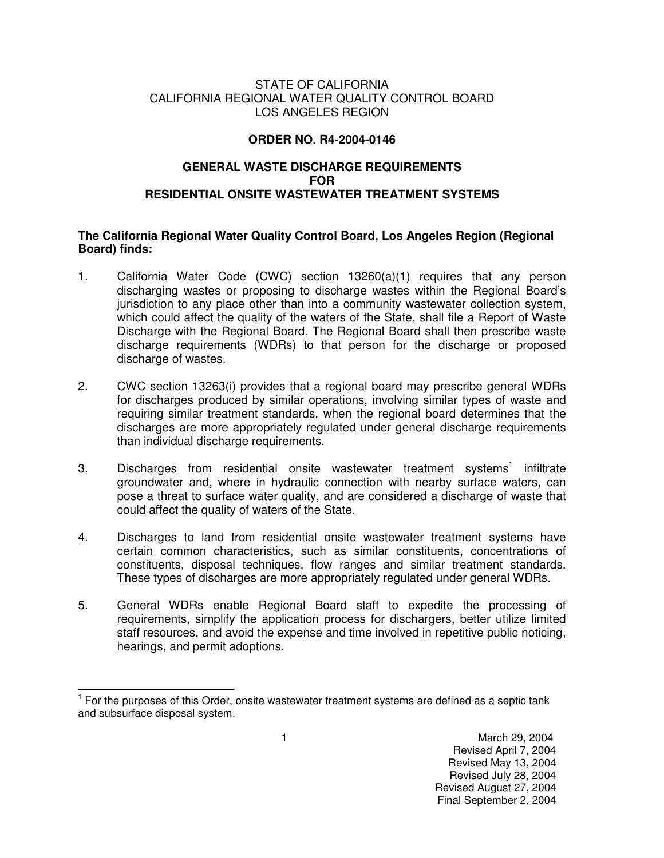### STATE OF CALIFORNIA CALIFORNIA REGIONAL WATER QUALITY CONTROL BOARD LOS ANGELES REGION

## **ORDER NO. R4-2004-0146**

# **GENERAL WASTE DISCHARGE REQUIREMENTS FOR RESIDENTIAL ONSITE WASTEWATER TREATMENT SYSTEMS**

### **The California Regional Water Quality Control Board, Los Angeles Region (Regional Board) finds:**

- 1. California Water Code (CWC) section 13260(a)(1) requires that any person discharging wastes or proposing to discharge wastes within the Regional Board's jurisdiction to any place other than into a community wastewater collection system, which could affect the quality of the waters of the State, shall file a Report of Waste Discharge with the Regional Board. The Regional Board shall then prescribe waste discharge requirements (WDRs) to that person for the discharge or proposed discharge of wastes.
- 2. CWC section 13263(i) provides that a regional board may prescribe general WDRs for discharges produced by similar operations, involving similar types of waste and requiring similar treatment standards, when the regional board determines that the discharges are more appropriately regulated under general discharge requirements than individual discharge requirements.
- 3. Discharges from residential onsite wastewater treatment systems<sup>1</sup> infiltrate groundwater and, where in hydraulic connection with nearby surface waters, can pose a threat to surface water quality, and are considered a discharge of waste that could affect the quality of waters of the State.
- 4. Discharges to land from residential onsite wastewater treatment systems have certain common characteristics, such as similar constituents, concentrations of constituents, disposal techniques, flow ranges and similar treatment standards. These types of discharges are more appropriately regulated under general WDRs.
- 5. General WDRs enable Regional Board staff to expedite the processing of requirements, simplify the application process for dischargers, better utilize limited staff resources, and avoid the expense and time involved in repetitive public noticing, hearings, and permit adoptions.

The matrice of this order, onsite wastewater treatment systems are defined as a septic tank<br><sup>1</sup> For the purposes of this Order, onsite wastewater treatment systems are defined as a septic tank and subsurface disposal system.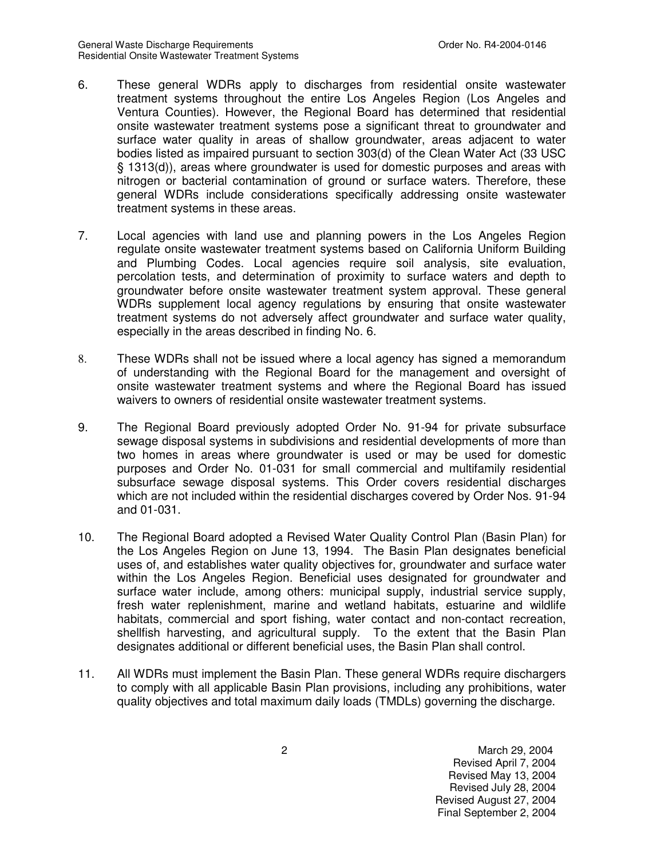- 6. These general WDRs apply to discharges from residential onsite wastewater treatment systems throughout the entire Los Angeles Region (Los Angeles and Ventura Counties). However, the Regional Board has determined that residential onsite wastewater treatment systems pose a significant threat to groundwater and surface water quality in areas of shallow groundwater, areas adjacent to water bodies listed as impaired pursuant to section 303(d) of the Clean Water Act (33 USC § 1313(d)), areas where groundwater is used for domestic purposes and areas with nitrogen or bacterial contamination of ground or surface waters. Therefore, these general WDRs include considerations specifically addressing onsite wastewater treatment systems in these areas.
- 7. Local agencies with land use and planning powers in the Los Angeles Region regulate onsite wastewater treatment systems based on California Uniform Building and Plumbing Codes. Local agencies require soil analysis, site evaluation, percolation tests, and determination of proximity to surface waters and depth to groundwater before onsite wastewater treatment system approval. These general WDRs supplement local agency regulations by ensuring that onsite wastewater treatment systems do not adversely affect groundwater and surface water quality, especially in the areas described in finding No. 6.
- 8. These WDRs shall not be issued where a local agency has signed a memorandum of understanding with the Regional Board for the management and oversight of onsite wastewater treatment systems and where the Regional Board has issued waivers to owners of residential onsite wastewater treatment systems.
- 9. The Regional Board previously adopted Order No. 91-94 for private subsurface sewage disposal systems in subdivisions and residential developments of more than two homes in areas where groundwater is used or may be used for domestic purposes and Order No. 01-031 for small commercial and multifamily residential subsurface sewage disposal systems. This Order covers residential discharges which are not included within the residential discharges covered by Order Nos. 91-94 and 01-031.
- 10. The Regional Board adopted a Revised Water Quality Control Plan (Basin Plan) for the Los Angeles Region on June 13, 1994. The Basin Plan designates beneficial uses of, and establishes water quality objectives for, groundwater and surface water within the Los Angeles Region. Beneficial uses designated for groundwater and surface water include, among others: municipal supply, industrial service supply, fresh water replenishment, marine and wetland habitats, estuarine and wildlife habitats, commercial and sport fishing, water contact and non-contact recreation, shellfish harvesting, and agricultural supply. To the extent that the Basin Plan designates additional or different beneficial uses, the Basin Plan shall control.
- 11. All WDRs must implement the Basin Plan. These general WDRs require dischargers to comply with all applicable Basin Plan provisions, including any prohibitions, water quality objectives and total maximum daily loads (TMDLs) governing the discharge.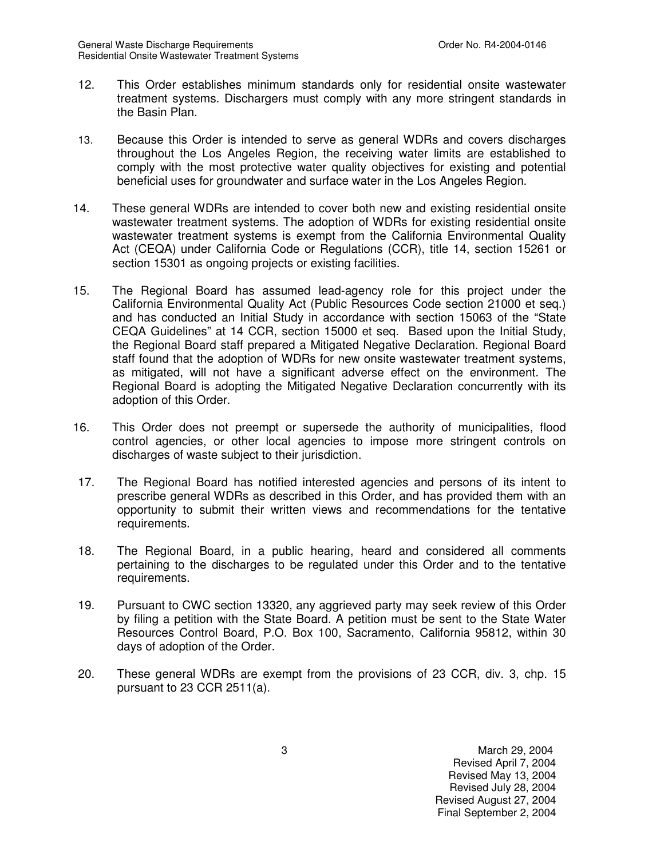- 12. This Order establishes minimum standards only for residential onsite wastewater treatment systems. Dischargers must comply with any more stringent standards in the Basin Plan.
- 13. Because this Order is intended to serve as general WDRs and covers discharges throughout the Los Angeles Region, the receiving water limits are established to comply with the most protective water quality objectives for existing and potential beneficial uses for groundwater and surface water in the Los Angeles Region.
- 14. These general WDRs are intended to cover both new and existing residential onsite wastewater treatment systems. The adoption of WDRs for existing residential onsite wastewater treatment systems is exempt from the California Environmental Quality Act (CEQA) under California Code or Regulations (CCR), title 14, section 15261 or section 15301 as ongoing projects or existing facilities.
- 15. The Regional Board has assumed lead-agency role for this project under the California Environmental Quality Act (Public Resources Code section 21000 et seq.) and has conducted an Initial Study in accordance with section 15063 of the "State CEQA Guidelines" at 14 CCR, section 15000 et seq. Based upon the Initial Study, the Regional Board staff prepared a Mitigated Negative Declaration. Regional Board staff found that the adoption of WDRs for new onsite wastewater treatment systems, as mitigated, will not have a significant adverse effect on the environment. The Regional Board is adopting the Mitigated Negative Declaration concurrently with its adoption of this Order.
- 16. This Order does not preempt or supersede the authority of municipalities, flood control agencies, or other local agencies to impose more stringent controls on discharges of waste subject to their jurisdiction.
- 17. The Regional Board has notified interested agencies and persons of its intent to prescribe general WDRs as described in this Order, and has provided them with an opportunity to submit their written views and recommendations for the tentative requirements.
- 18. The Regional Board, in a public hearing, heard and considered all comments pertaining to the discharges to be regulated under this Order and to the tentative requirements.
- 19. Pursuant to CWC section 13320, any aggrieved party may seek review of this Order by filing a petition with the State Board. A petition must be sent to the State Water Resources Control Board, P.O. Box 100, Sacramento, California 95812, within 30 days of adoption of the Order.
- 20. These general WDRs are exempt from the provisions of 23 CCR, div. 3, chp. 15 pursuant to 23 CCR 2511(a).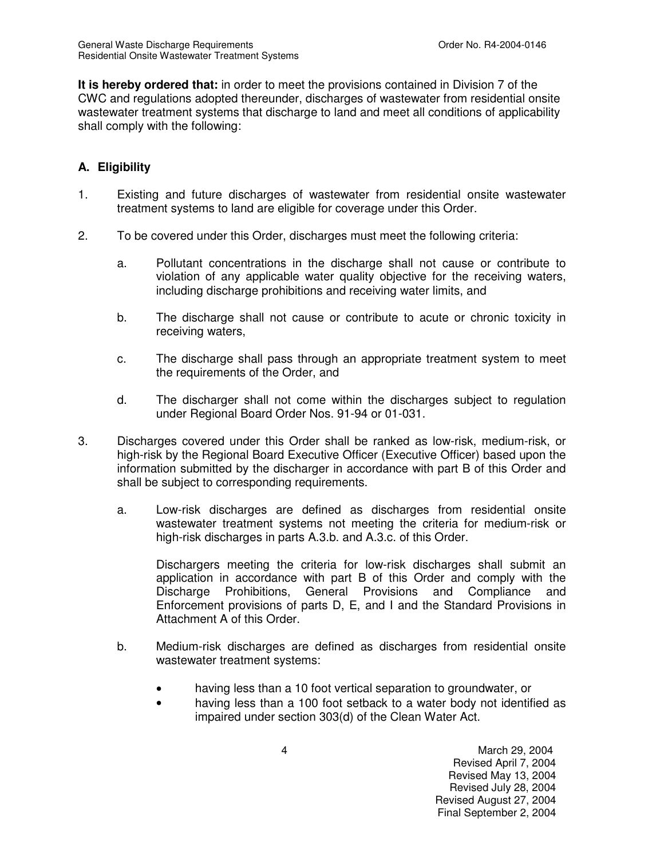**It is hereby ordered that:** in order to meet the provisions contained in Division 7 of the CWC and regulations adopted thereunder, discharges of wastewater from residential onsite wastewater treatment systems that discharge to land and meet all conditions of applicability shall comply with the following:

# **A. Eligibility**

- 1. Existing and future discharges of wastewater from residential onsite wastewater treatment systems to land are eligible for coverage under this Order.
- 2. To be covered under this Order, discharges must meet the following criteria:
	- a. Pollutant concentrations in the discharge shall not cause or contribute to violation of any applicable water quality objective for the receiving waters, including discharge prohibitions and receiving water limits, and
	- b. The discharge shall not cause or contribute to acute or chronic toxicity in receiving waters,
	- c. The discharge shall pass through an appropriate treatment system to meet the requirements of the Order, and
	- d. The discharger shall not come within the discharges subject to regulation under Regional Board Order Nos. 91-94 or 01-031.
- 3. Discharges covered under this Order shall be ranked as low-risk, medium-risk, or high-risk by the Regional Board Executive Officer (Executive Officer) based upon the information submitted by the discharger in accordance with part B of this Order and shall be subject to corresponding requirements.
	- a. Low-risk discharges are defined as discharges from residential onsite wastewater treatment systems not meeting the criteria for medium-risk or high-risk discharges in parts A.3.b. and A.3.c. of this Order.

Dischargers meeting the criteria for low-risk discharges shall submit an application in accordance with part B of this Order and comply with the Discharge Prohibitions, General Provisions and Compliance and Enforcement provisions of parts D, E, and I and the Standard Provisions in Attachment A of this Order.

- b. Medium-risk discharges are defined as discharges from residential onsite wastewater treatment systems:
	- having less than a 10 foot vertical separation to groundwater, or
	- having less than a 100 foot setback to a water body not identified as impaired under section 303(d) of the Clean Water Act.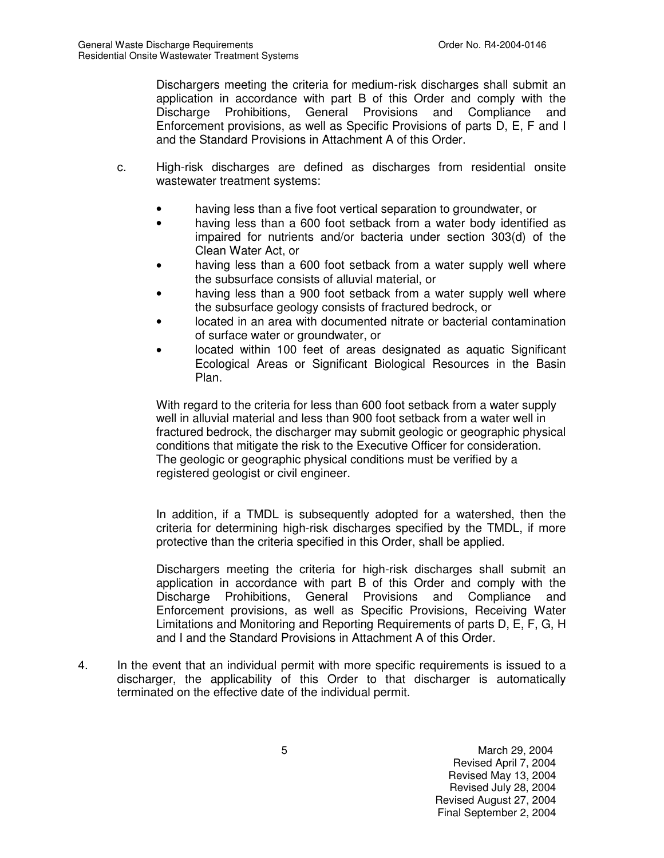Dischargers meeting the criteria for medium-risk discharges shall submit an application in accordance with part B of this Order and comply with the Discharge Prohibitions, General Provisions and Compliance and Enforcement provisions, as well as Specific Provisions of parts D, E, F and I and the Standard Provisions in Attachment A of this Order.

- c. High-risk discharges are defined as discharges from residential onsite wastewater treatment systems:
	- having less than a five foot vertical separation to groundwater, or
	- having less than a 600 foot setback from a water body identified as impaired for nutrients and/or bacteria under section 303(d) of the Clean Water Act, or
	- having less than a 600 foot setback from a water supply well where the subsurface consists of alluvial material, or
	- having less than a 900 foot setback from a water supply well where the subsurface geology consists of fractured bedrock, or
	- located in an area with documented nitrate or bacterial contamination of surface water or groundwater, or
	- located within 100 feet of areas designated as aquatic Significant Ecological Areas or Significant Biological Resources in the Basin Plan.

With regard to the criteria for less than 600 foot setback from a water supply well in alluvial material and less than 900 foot setback from a water well in fractured bedrock, the discharger may submit geologic or geographic physical conditions that mitigate the risk to the Executive Officer for consideration. The geologic or geographic physical conditions must be verified by a registered geologist or civil engineer.

In addition, if a TMDL is subsequently adopted for a watershed, then the criteria for determining high-risk discharges specified by the TMDL, if more protective than the criteria specified in this Order, shall be applied.

Dischargers meeting the criteria for high-risk discharges shall submit an application in accordance with part B of this Order and comply with the Discharge Prohibitions, General Provisions and Compliance and Enforcement provisions, as well as Specific Provisions, Receiving Water Limitations and Monitoring and Reporting Requirements of parts D, E, F, G, H and I and the Standard Provisions in Attachment A of this Order.

4. In the event that an individual permit with more specific requirements is issued to a discharger, the applicability of this Order to that discharger is automatically terminated on the effective date of the individual permit.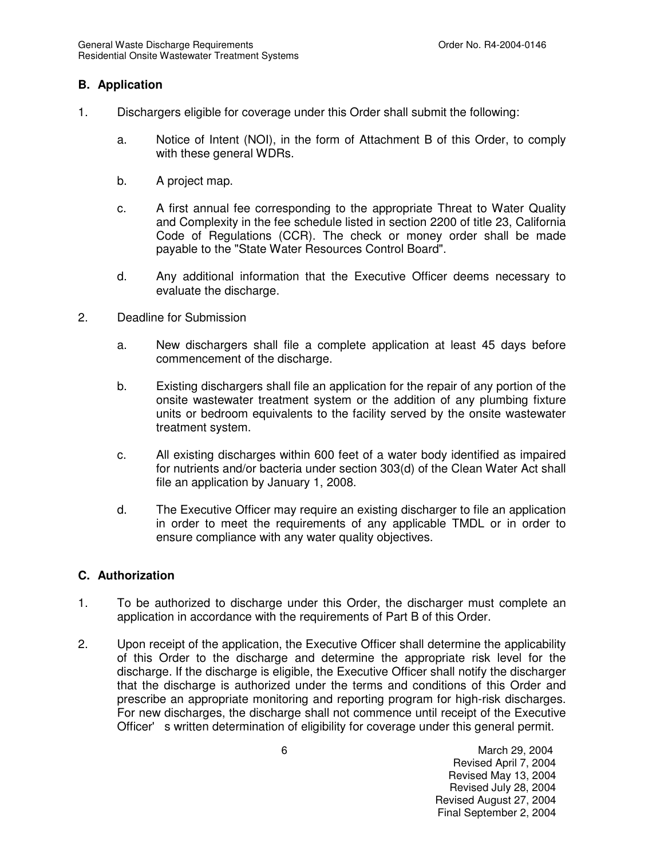#### **B. Application**

- 1. Dischargers eligible for coverage under this Order shall submit the following:
	- a. Notice of Intent (NOI), in the form of Attachment B of this Order, to comply with these general WDRs.
	- b. A project map.
	- c. A first annual fee corresponding to the appropriate Threat to Water Quality and Complexity in the fee schedule listed in section 2200 of title 23, California Code of Regulations (CCR). The check or money order shall be made payable to the "State Water Resources Control Board".
	- d. Any additional information that the Executive Officer deems necessary to evaluate the discharge.
- 2. Deadline for Submission
	- a. New dischargers shall file a complete application at least 45 days before commencement of the discharge.
	- b. Existing dischargers shall file an application for the repair of any portion of the onsite wastewater treatment system or the addition of any plumbing fixture units or bedroom equivalents to the facility served by the onsite wastewater treatment system.
	- c. All existing discharges within 600 feet of a water body identified as impaired for nutrients and/or bacteria under section 303(d) of the Clean Water Act shall file an application by January 1, 2008.
	- d. The Executive Officer may require an existing discharger to file an application in order to meet the requirements of any applicable TMDL or in order to ensure compliance with any water quality objectives.

#### **C. Authorization**

- 1. To be authorized to discharge under this Order, the discharger must complete an application in accordance with the requirements of Part B of this Order.
- 2. Upon receipt of the application, the Executive Officer shall determine the applicability of this Order to the discharge and determine the appropriate risk level for the discharge. If the discharge is eligible, the Executive Officer shall notify the discharger that the discharge is authorized under the terms and conditions of this Order and prescribe an appropriate monitoring and reporting program for high-risk discharges. For new discharges, the discharge shall not commence until receipt of the Executive Officer' s written determination of eligibility for coverage under this general permit.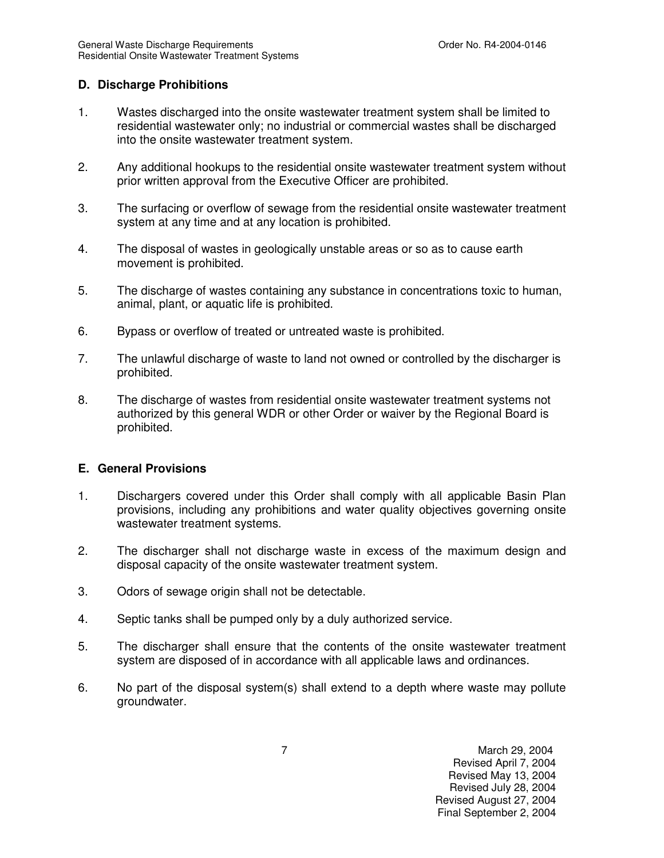### **D. Discharge Prohibitions**

- 1. Wastes discharged into the onsite wastewater treatment system shall be limited to residential wastewater only; no industrial or commercial wastes shall be discharged into the onsite wastewater treatment system.
- 2. Any additional hookups to the residential onsite wastewater treatment system without prior written approval from the Executive Officer are prohibited.
- 3. The surfacing or overflow of sewage from the residential onsite wastewater treatment system at any time and at any location is prohibited.
- 4. The disposal of wastes in geologically unstable areas or so as to cause earth movement is prohibited.
- 5. The discharge of wastes containing any substance in concentrations toxic to human, animal, plant, or aquatic life is prohibited.
- 6. Bypass or overflow of treated or untreated waste is prohibited.
- 7. The unlawful discharge of waste to land not owned or controlled by the discharger is prohibited.
- 8. The discharge of wastes from residential onsite wastewater treatment systems not authorized by this general WDR or other Order or waiver by the Regional Board is prohibited.

### **E. General Provisions**

- 1. Dischargers covered under this Order shall comply with all applicable Basin Plan provisions, including any prohibitions and water quality objectives governing onsite wastewater treatment systems.
- 2. The discharger shall not discharge waste in excess of the maximum design and disposal capacity of the onsite wastewater treatment system.
- 3. Odors of sewage origin shall not be detectable.
- 4. Septic tanks shall be pumped only by a duly authorized service.
- 5. The discharger shall ensure that the contents of the onsite wastewater treatment system are disposed of in accordance with all applicable laws and ordinances.
- 6. No part of the disposal system(s) shall extend to a depth where waste may pollute groundwater.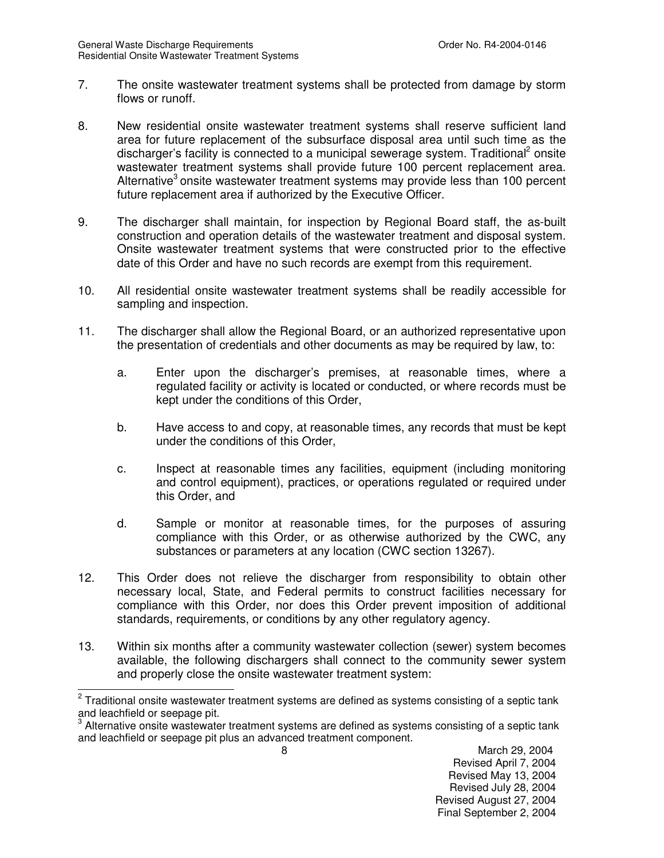- 7. The onsite wastewater treatment systems shall be protected from damage by storm flows or runoff.
- 8. New residential onsite wastewater treatment systems shall reserve sufficient land area for future replacement of the subsurface disposal area until such time as the discharger's facility is connected to a municipal sewerage system. Traditional<sup>2</sup> onsite wastewater treatment systems shall provide future 100 percent replacement area. Alternative<sup>3</sup> onsite wastewater treatment systems may provide less than 100 percent future replacement area if authorized by the Executive Officer.
- 9. The discharger shall maintain, for inspection by Regional Board staff, the as-built construction and operation details of the wastewater treatment and disposal system. Onsite wastewater treatment systems that were constructed prior to the effective date of this Order and have no such records are exempt from this requirement.
- 10. All residential onsite wastewater treatment systems shall be readily accessible for sampling and inspection.
- 11. The discharger shall allow the Regional Board, or an authorized representative upon the presentation of credentials and other documents as may be required by law, to:
	- a. Enter upon the discharger's premises, at reasonable times, where a regulated facility or activity is located or conducted, or where records must be kept under the conditions of this Order,
	- b. Have access to and copy, at reasonable times, any records that must be kept under the conditions of this Order,
	- c. Inspect at reasonable times any facilities, equipment (including monitoring and control equipment), practices, or operations regulated or required under this Order, and
	- d. Sample or monitor at reasonable times, for the purposes of assuring compliance with this Order, or as otherwise authorized by the CWC, any substances or parameters at any location (CWC section 13267).
- 12. This Order does not relieve the discharger from responsibility to obtain other necessary local, State, and Federal permits to construct facilities necessary for compliance with this Order, nor does this Order prevent imposition of additional standards, requirements, or conditions by any other regulatory agency.
- 13. Within six months after a community wastewater collection (sewer) system becomes available, the following dischargers shall connect to the community sewer system and properly close the onsite wastewater treatment system:

Revised April 7, 2004 Revised May 13, 2004 Revised July 28, 2004 Revised August 27, 2004 Final September 2, 2004

<sup>&</sup>lt;u>.</u><br><sup>2</sup> Traditional onsite wastewater treatment systems are defined as systems consisting of a septic tank and leachfield or seepage pit.

 $^{\rm 3}$  Alternative onsite wastewater treatment systems are defined as systems consisting of a septic tank and leachfield or seepage pit plus an advanced treatment component.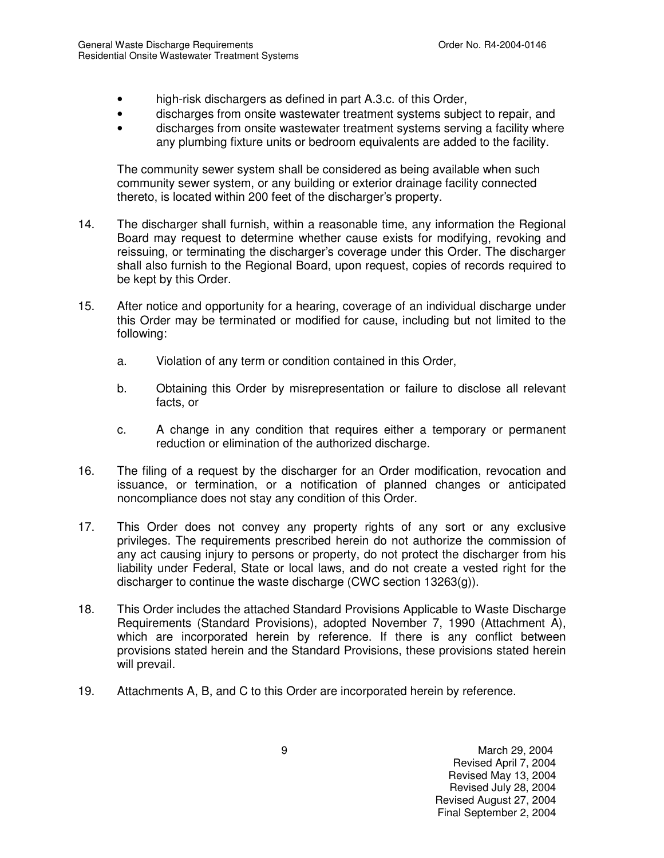- high-risk dischargers as defined in part A.3.c. of this Order,
- discharges from onsite wastewater treatment systems subject to repair, and
- discharges from onsite wastewater treatment systems serving a facility where any plumbing fixture units or bedroom equivalents are added to the facility.

The community sewer system shall be considered as being available when such community sewer system, or any building or exterior drainage facility connected thereto, is located within 200 feet of the discharger's property.

- 14. The discharger shall furnish, within a reasonable time, any information the Regional Board may request to determine whether cause exists for modifying, revoking and reissuing, or terminating the discharger's coverage under this Order. The discharger shall also furnish to the Regional Board, upon request, copies of records required to be kept by this Order.
- 15. After notice and opportunity for a hearing, coverage of an individual discharge under this Order may be terminated or modified for cause, including but not limited to the following:
	- a. Violation of any term or condition contained in this Order,
	- b. Obtaining this Order by misrepresentation or failure to disclose all relevant facts, or
	- c. A change in any condition that requires either a temporary or permanent reduction or elimination of the authorized discharge.
- 16. The filing of a request by the discharger for an Order modification, revocation and issuance, or termination, or a notification of planned changes or anticipated noncompliance does not stay any condition of this Order.
- 17. This Order does not convey any property rights of any sort or any exclusive privileges. The requirements prescribed herein do not authorize the commission of any act causing injury to persons or property, do not protect the discharger from his liability under Federal, State or local laws, and do not create a vested right for the discharger to continue the waste discharge (CWC section 13263(g)).
- 18. This Order includes the attached Standard Provisions Applicable to Waste Discharge Requirements (Standard Provisions), adopted November 7, 1990 (Attachment A), which are incorporated herein by reference. If there is any conflict between provisions stated herein and the Standard Provisions, these provisions stated herein will prevail.
- 19. Attachments A, B, and C to this Order are incorporated herein by reference.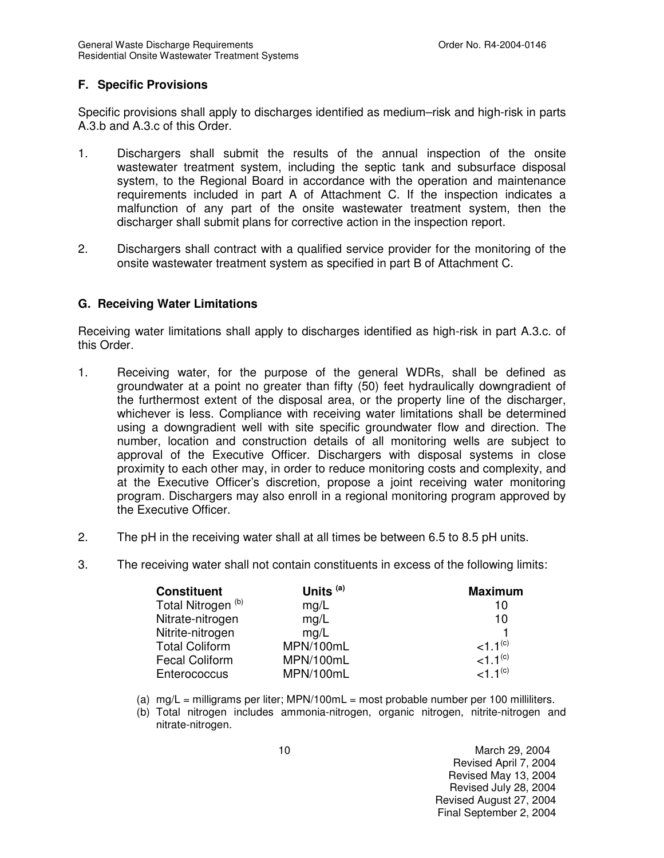### **F. Specific Provisions**

Specific provisions shall apply to discharges identified as medium–risk and high-risk in parts A.3.b and A.3.c of this Order.

- 1. Dischargers shall submit the results of the annual inspection of the onsite wastewater treatment system, including the septic tank and subsurface disposal system, to the Regional Board in accordance with the operation and maintenance requirements included in part A of Attachment C. If the inspection indicates a malfunction of any part of the onsite wastewater treatment system, then the discharger shall submit plans for corrective action in the inspection report.
- 2. Dischargers shall contract with a qualified service provider for the monitoring of the onsite wastewater treatment system as specified in part B of Attachment C.

#### **G. Receiving Water Limitations**

Receiving water limitations shall apply to discharges identified as high-risk in part A.3.c. of this Order.

- 1. Receiving water, for the purpose of the general WDRs, shall be defined as groundwater at a point no greater than fifty (50) feet hydraulically downgradient of the furthermost extent of the disposal area, or the property line of the discharger, whichever is less. Compliance with receiving water limitations shall be determined using a downgradient well with site specific groundwater flow and direction. The number, location and construction details of all monitoring wells are subject to approval of the Executive Officer. Dischargers with disposal systems in close proximity to each other may, in order to reduce monitoring costs and complexity, and at the Executive Officer's discretion, propose a joint receiving water monitoring program. Dischargers may also enroll in a regional monitoring program approved by the Executive Officer.
- 2. The pH in the receiving water shall at all times be between 6.5 to 8.5 pH units.
- 3. The receiving water shall not contain constituents in excess of the following limits:

| <b>Constituent</b>            | Units <sup>(a)</sup> | <b>Maximum</b> |
|-------------------------------|----------------------|----------------|
| Total Nitrogen <sup>(b)</sup> | mg/L                 | 10             |
| Nitrate-nitrogen              | mg/L                 | 10             |
| Nitrite-nitrogen              | mg/L                 |                |
| <b>Total Coliform</b>         | MPN/100mL            | $1.1^{(c)}$    |
| <b>Fecal Coliform</b>         | MPN/100mL            | $1.1^{(c)}$    |
| Enterococcus                  | MPN/100mL            | $1.1^{(c)}$    |

- (a)  $mg/L =$  milligrams per liter; MPN/100mL = most probable number per 100 milliliters.
- (b) Total nitrogen includes ammonia-nitrogen, organic nitrogen, nitrite-nitrogen and nitrate-nitrogen.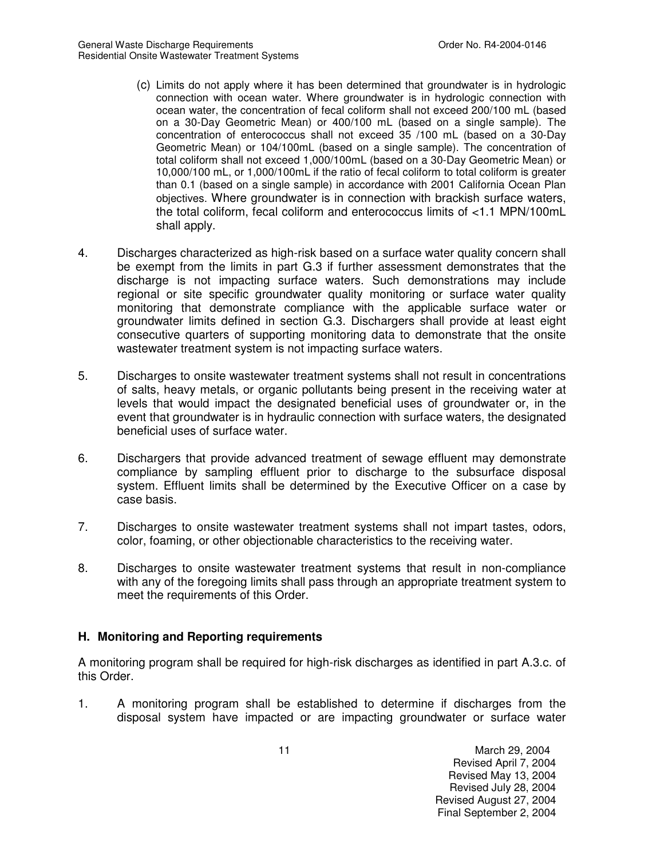- (c) Limits do not apply where it has been determined that groundwater is in hydrologic connection with ocean water. Where groundwater is in hydrologic connection with ocean water, the concentration of fecal coliform shall not exceed 200/100 mL (based on a 30-Day Geometric Mean) or 400/100 mL (based on a single sample). The concentration of enterococcus shall not exceed 35 /100 mL (based on a 30-Day Geometric Mean) or 104/100mL (based on a single sample). The concentration of total coliform shall not exceed 1,000/100mL (based on a 30-Day Geometric Mean) or 10,000/100 mL, or 1,000/100mL if the ratio of fecal coliform to total coliform is greater than 0.1 (based on a single sample) in accordance with 2001 California Ocean Plan objectives. Where groundwater is in connection with brackish surface waters, the total coliform, fecal coliform and enterococcus limits of <1.1 MPN/100mL shall apply.
- 4. Discharges characterized as high-risk based on a surface water quality concern shall be exempt from the limits in part G.3 if further assessment demonstrates that the discharge is not impacting surface waters. Such demonstrations may include regional or site specific groundwater quality monitoring or surface water quality monitoring that demonstrate compliance with the applicable surface water or groundwater limits defined in section G.3. Dischargers shall provide at least eight consecutive quarters of supporting monitoring data to demonstrate that the onsite wastewater treatment system is not impacting surface waters.
- 5. Discharges to onsite wastewater treatment systems shall not result in concentrations of salts, heavy metals, or organic pollutants being present in the receiving water at levels that would impact the designated beneficial uses of groundwater or, in the event that groundwater is in hydraulic connection with surface waters, the designated beneficial uses of surface water.
- 6. Dischargers that provide advanced treatment of sewage effluent may demonstrate compliance by sampling effluent prior to discharge to the subsurface disposal system. Effluent limits shall be determined by the Executive Officer on a case by case basis.
- 7. Discharges to onsite wastewater treatment systems shall not impart tastes, odors, color, foaming, or other objectionable characteristics to the receiving water.
- 8. Discharges to onsite wastewater treatment systems that result in non-compliance with any of the foregoing limits shall pass through an appropriate treatment system to meet the requirements of this Order.

### **H. Monitoring and Reporting requirements**

A monitoring program shall be required for high-risk discharges as identified in part A.3.c. of this Order.

1. A monitoring program shall be established to determine if discharges from the disposal system have impacted or are impacting groundwater or surface water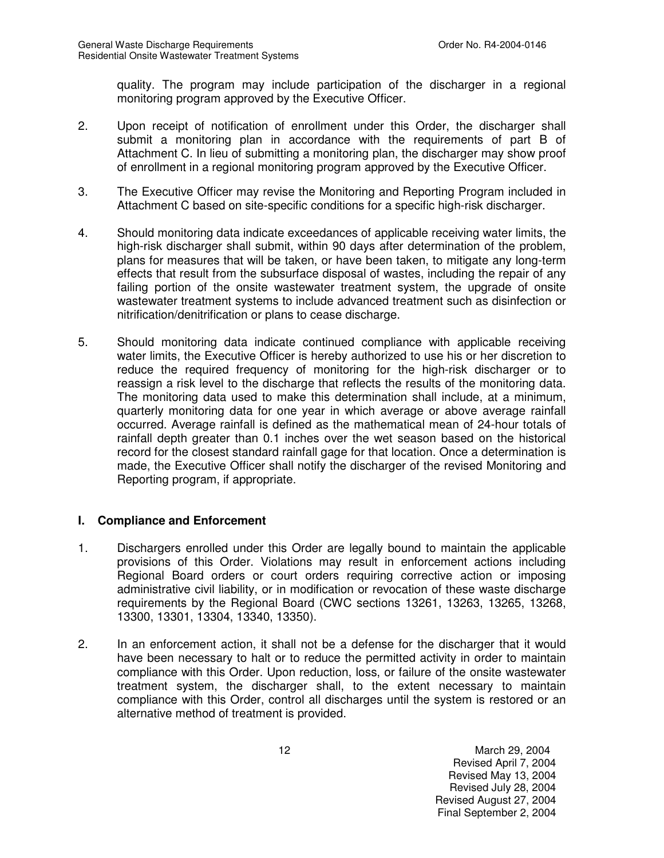quality. The program may include participation of the discharger in a regional monitoring program approved by the Executive Officer.

- 2. Upon receipt of notification of enrollment under this Order, the discharger shall submit a monitoring plan in accordance with the requirements of part B of Attachment C. In lieu of submitting a monitoring plan, the discharger may show proof of enrollment in a regional monitoring program approved by the Executive Officer.
- 3. The Executive Officer may revise the Monitoring and Reporting Program included in Attachment C based on site-specific conditions for a specific high-risk discharger.
- 4. Should monitoring data indicate exceedances of applicable receiving water limits, the high-risk discharger shall submit, within 90 days after determination of the problem, plans for measures that will be taken, or have been taken, to mitigate any long-term effects that result from the subsurface disposal of wastes, including the repair of any failing portion of the onsite wastewater treatment system, the upgrade of onsite wastewater treatment systems to include advanced treatment such as disinfection or nitrification/denitrification or plans to cease discharge.
- 5. Should monitoring data indicate continued compliance with applicable receiving water limits, the Executive Officer is hereby authorized to use his or her discretion to reduce the required frequency of monitoring for the high-risk discharger or to reassign a risk level to the discharge that reflects the results of the monitoring data. The monitoring data used to make this determination shall include, at a minimum, quarterly monitoring data for one year in which average or above average rainfall occurred. Average rainfall is defined as the mathematical mean of 24-hour totals of rainfall depth greater than 0.1 inches over the wet season based on the historical record for the closest standard rainfall gage for that location. Once a determination is made, the Executive Officer shall notify the discharger of the revised Monitoring and Reporting program, if appropriate.

#### **I. Compliance and Enforcement**

- 1. Dischargers enrolled under this Order are legally bound to maintain the applicable provisions of this Order. Violations may result in enforcement actions including Regional Board orders or court orders requiring corrective action or imposing administrative civil liability, or in modification or revocation of these waste discharge requirements by the Regional Board (CWC sections 13261, 13263, 13265, 13268, 13300, 13301, 13304, 13340, 13350).
- 2. In an enforcement action, it shall not be a defense for the discharger that it would have been necessary to halt or to reduce the permitted activity in order to maintain compliance with this Order. Upon reduction, loss, or failure of the onsite wastewater treatment system, the discharger shall, to the extent necessary to maintain compliance with this Order, control all discharges until the system is restored or an alternative method of treatment is provided.